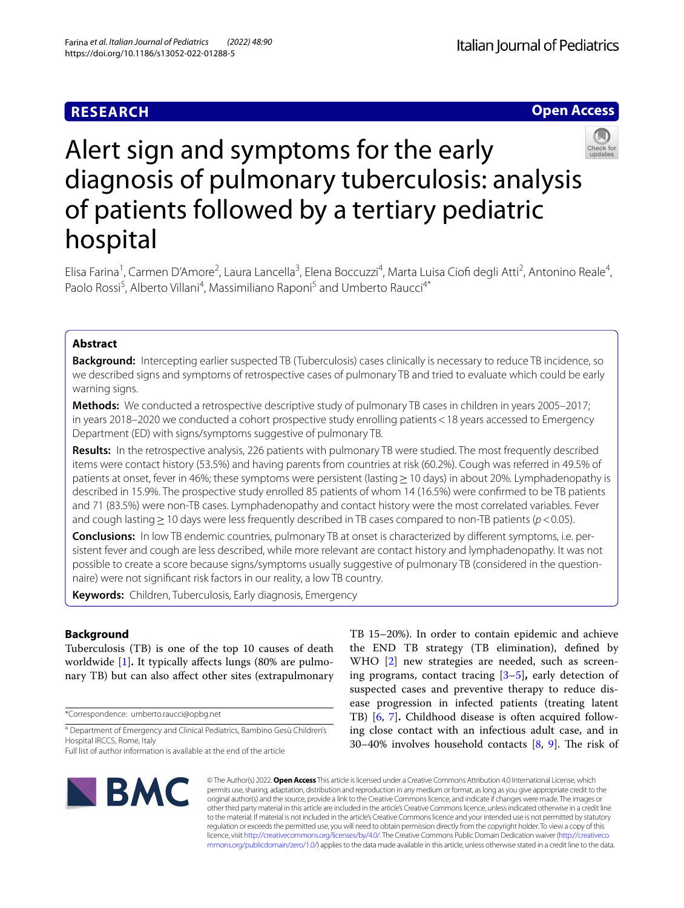# **RESEARCH**

**Open Access**



# Alert sign and symptoms for the early diagnosis of pulmonary tuberculosis: analysis of patients followed by a tertiary pediatric hospital

Elisa Farina<sup>1</sup>, Carmen D'Amore<sup>2</sup>, Laura Lancella<sup>3</sup>, Elena Boccuzzi<sup>4</sup>, Marta Luisa Ciofi degli Atti<sup>2</sup>, Antonino Reale<sup>4</sup>, Paolo Rossi<sup>5</sup>, Alberto Villani<sup>4</sup>, Massimiliano Raponi<sup>5</sup> and Umberto Raucci<sup>4\*</sup>

# **Abstract**

**Background:** Intercepting earlier suspected TB (Tuberculosis) cases clinically is necessary to reduce TB incidence, so we described signs and symptoms of retrospective cases of pulmonary TB and tried to evaluate which could be early warning signs.

**Methods:** We conducted a retrospective descriptive study of pulmonary TB cases in children in years 2005–2017; in years 2018–2020 we conducted a cohort prospective study enrolling patients<18 years accessed to Emergency Department (ED) with signs/symptoms suggestive of pulmonary TB.

**Results:** In the retrospective analysis, 226 patients with pulmonary TB were studied. The most frequently described items were contact history (53.5%) and having parents from countries at risk (60.2%). Cough was referred in 49.5% of patients at onset, fever in 46%; these symptoms were persistent (lasting ≥ 10 days) in about 20%. Lymphadenopathy is described in 15.9%. The prospective study enrolled 85 patients of whom 14 (16.5%) were confrmed to be TB patients and 71 (83.5%) were non-TB cases. Lymphadenopathy and contact history were the most correlated variables. Fever and cough lasting≥10 days were less frequently described in TB cases compared to non-TB patients (*p*<0.05).

**Conclusions:** In low TB endemic countries, pulmonary TB at onset is characterized by diferent symptoms, i.e. persistent fever and cough are less described, while more relevant are contact history and lymphadenopathy. It was not possible to create a score because signs/symptoms usually suggestive of pulmonary TB (considered in the questionnaire) were not signifcant risk factors in our reality, a low TB country.

**Keywords:** Children, Tuberculosis, Early diagnosis, Emergency

# **Background**

Tuberculosis (TB) is one of the top 10 causes of death worldwide [\[1\]](#page-6-0). It typically affects lungs (80% are pulmonary TB) but can also afect other sites (extrapulmonary

\*Correspondence: umberto.raucci@opbg.net

4 Department of Emergency and Clinical Pediatrics, Bambino Gesù Children's Hospital IRCCS, Rome, Italy

TB 15–20%). In order to contain epidemic and achieve the END TB strategy (TB elimination), defned by WHO [\[2](#page-6-1)] new strategies are needed, such as screening programs, contact tracing [\[3](#page-6-2)[–5](#page-6-3)]**,** early detection of suspected cases and preventive therapy to reduce disease progression in infected patients (treating latent TB) [[6](#page-6-4), [7\]](#page-6-5)**.** Childhood disease is often acquired following close contact with an infectious adult case, and in 30–40% involves household contacts  $[8, 9]$  $[8, 9]$  $[8, 9]$  $[8, 9]$ . The risk of



© The Author(s) 2022. **Open Access** This article is licensed under a Creative Commons Attribution 4.0 International License, which permits use, sharing, adaptation, distribution and reproduction in any medium or format, as long as you give appropriate credit to the original author(s) and the source, provide a link to the Creative Commons licence, and indicate if changes were made. The images or other third party material in this article are included in the article's Creative Commons licence, unless indicated otherwise in a credit line to the material. If material is not included in the article's Creative Commons licence and your intended use is not permitted by statutory regulation or exceeds the permitted use, you will need to obtain permission directly from the copyright holder. To view a copy of this licence, visit [http://creativecommons.org/licenses/by/4.0/.](http://creativecommons.org/licenses/by/4.0/) The Creative Commons Public Domain Dedication waiver ([http://creativeco](http://creativecommons.org/publicdomain/zero/1.0/) [mmons.org/publicdomain/zero/1.0/](http://creativecommons.org/publicdomain/zero/1.0/)) applies to the data made available in this article, unless otherwise stated in a credit line to the data.

Full list of author information is available at the end of the article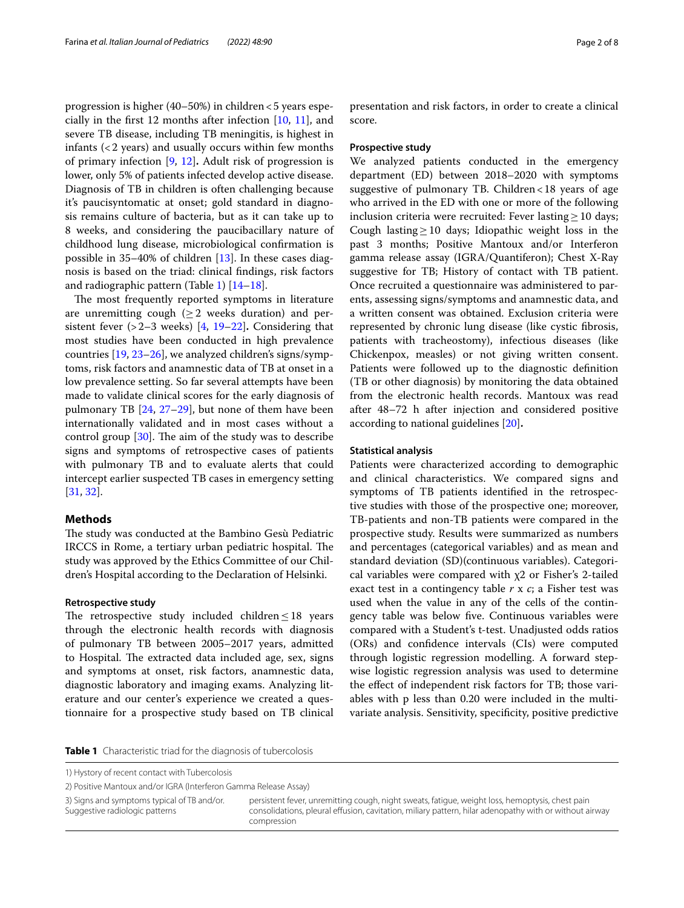progression is higher (40–50%) in children<5 years especially in the frst 12 months after infection [\[10](#page-6-8), [11\]](#page-6-9), and severe TB disease, including TB meningitis, is highest in infants (<2 years) and usually occurs within few months of primary infection [\[9](#page-6-7), [12\]](#page-6-10)**.** Adult risk of progression is lower, only 5% of patients infected develop active disease. Diagnosis of TB in children is often challenging because it's paucisyntomatic at onset; gold standard in diagnosis remains culture of bacteria, but as it can take up to 8 weeks, and considering the paucibacillary nature of childhood lung disease, microbiological confrmation is possible in 35–40% of children [[13\]](#page-6-11). In these cases diagnosis is based on the triad: clinical fndings, risk factors and radiographic pattern (Table [1](#page-1-0)) [\[14–](#page-6-12)[18\]](#page-7-0).

The most frequently reported symptoms in literature are unremitting cough ( $\geq$ 2 weeks duration) and persistent fever (>2–3 weeks) [[4,](#page-6-13) [19](#page-7-1)[–22](#page-7-2)]**.** Considering that most studies have been conducted in high prevalence countries [\[19](#page-7-1), [23–](#page-7-3)[26](#page-7-4)], we analyzed children's signs/symptoms, risk factors and anamnestic data of TB at onset in a low prevalence setting. So far several attempts have been made to validate clinical scores for the early diagnosis of pulmonary TB [[24](#page-7-5), [27–](#page-7-6)[29](#page-7-7)], but none of them have been internationally validated and in most cases without a control group  $[30]$  $[30]$  $[30]$ . The aim of the study was to describe signs and symptoms of retrospective cases of patients with pulmonary TB and to evaluate alerts that could intercept earlier suspected TB cases in emergency setting [[31,](#page-7-9) [32](#page-7-10)].

# **Methods**

The study was conducted at the Bambino Gesù Pediatric IRCCS in Rome, a tertiary urban pediatric hospital. The study was approved by the Ethics Committee of our Children's Hospital according to the Declaration of Helsinki.

# **Retrospective study**

The retrospective study included children $\leq$ 18 years through the electronic health records with diagnosis of pulmonary TB between 2005–2017 years, admitted to Hospital. The extracted data included age, sex, signs and symptoms at onset, risk factors, anamnestic data, diagnostic laboratory and imaging exams. Analyzing literature and our center's experience we created a questionnaire for a prospective study based on TB clinical presentation and risk factors, in order to create a clinical score.

## **Prospective study**

We analyzed patients conducted in the emergency department (ED) between 2018–2020 with symptoms suggestive of pulmonary TB. Children<18 years of age who arrived in the ED with one or more of the following inclusion criteria were recruited: Fever lasting  $\geq$  10 days; Cough lasting  $\geq$  10 days; Idiopathic weight loss in the past 3 months; Positive Mantoux and/or Interferon gamma release assay (IGRA/Quantiferon); Chest X-Ray suggestive for TB; History of contact with TB patient. Once recruited a questionnaire was administered to parents, assessing signs/symptoms and anamnestic data, and a written consent was obtained. Exclusion criteria were represented by chronic lung disease (like cystic fbrosis, patients with tracheostomy), infectious diseases (like Chickenpox, measles) or not giving written consent. Patients were followed up to the diagnostic defnition (TB or other diagnosis) by monitoring the data obtained from the electronic health records. Mantoux was read after 48–72 h after injection and considered positive according to national guidelines [\[20](#page-7-11)]**.**

#### **Statistical analysis**

Patients were characterized according to demographic and clinical characteristics. We compared signs and symptoms of TB patients identifed in the retrospective studies with those of the prospective one; moreover, TB-patients and non-TB patients were compared in the prospective study. Results were summarized as numbers and percentages (categorical variables) and as mean and standard deviation (SD)(continuous variables). Categorical variables were compared with  $\chi$ 2 or Fisher's 2-tailed exact test in a contingency table *r* x *c*; a Fisher test was used when the value in any of the cells of the contingency table was below fve. Continuous variables were compared with a Student's t-test. Unadjusted odds ratios (ORs) and confdence intervals (CIs) were computed through logistic regression modelling. A forward stepwise logistic regression analysis was used to determine the efect of independent risk factors for TB; those variables with p less than 0.20 were included in the multivariate analysis. Sensitivity, specifcity, positive predictive

<span id="page-1-0"></span>**Table 1** Characteristic triad for the diagnosis of tubercolosis

1) Hystory of recent contact with Tubercolosis

2) Positive Mantoux and/or IGRA (Interferon Gamma Release Assay)

3) Signs and symptoms typical of TB and/or. Suggestive radiologic patterns

persistent fever, unremitting cough, night sweats, fatigue, weight loss, hemoptysis, chest pain consolidations, pleural efusion, cavitation, miliary pattern, hilar adenopathy with or without airway compression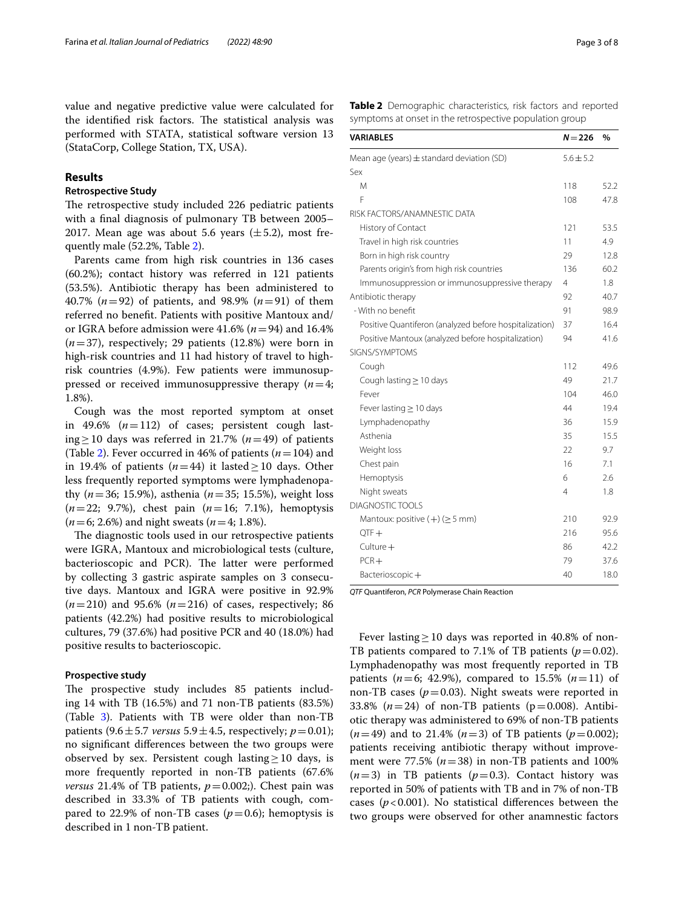value and negative predictive value were calculated for the identified risk factors. The statistical analysis was performed with STATA, statistical software version 13 (StataCorp, College Station, TX, USA).

# **Results**

# **Retrospective Study**

The retrospective study included 226 pediatric patients with a fnal diagnosis of pulmonary TB between 2005– 2017. Mean age was about 5.6 years  $(\pm 5.2)$ , most frequently male (52.2%, Table [2\)](#page-2-0).

Parents came from high risk countries in 136 cases (60.2%); contact history was referred in 121 patients (53.5%). Antibiotic therapy has been administered to 40.7% (*n*=92) of patients, and 98.9% (*n*=91) of them referred no beneft. Patients with positive Mantoux and/ or IGRA before admission were  $41.6\%$  ( $n=94$ ) and 16.4% (*n*=37), respectively; 29 patients (12.8%) were born in high-risk countries and 11 had history of travel to highrisk countries (4.9%). Few patients were immunosuppressed or received immunosuppressive therapy  $(n=4;$ 1.8%).

Cough was the most reported symptom at onset in 49.6% (*n*=112) of cases; persistent cough lasting≥10 days was referred in 21.7% (*n*=49) of patients (Table [2\)](#page-2-0). Fever occurred in 46% of patients (*n*=104) and in 19.4% of patients  $(n=44)$  it lasted  $\geq$  10 days. Other less frequently reported symptoms were lymphadenopathy (*n*=36; 15.9%), asthenia (*n*=35; 15.5%), weight loss (*n*=22; 9.7%), chest pain (*n*=16; 7.1%), hemoptysis (*n*=6; 2.6%) and night sweats (*n*=4; 1.8%).

The diagnostic tools used in our retrospective patients were IGRA, Mantoux and microbiological tests (culture, bacterioscopic and PCR). The latter were performed by collecting 3 gastric aspirate samples on 3 consecutive days. Mantoux and IGRA were positive in 92.9% (*n*=210) and 95.6% (*n*=216) of cases, respectively; 86 patients (42.2%) had positive results to microbiological cultures, 79 (37.6%) had positive PCR and 40 (18.0%) had positive results to bacterioscopic.

### **Prospective study**

The prospective study includes 85 patients including 14 with TB (16.5%) and 71 non-TB patients (83.5%) (Table [3\)](#page-3-0). Patients with TB were older than non-TB patients  $(9.6 \pm 5.7 \text{ versus } 5.9 \pm 4.5, \text{ respectively}; p = 0.01);$ no signifcant diferences between the two groups were observed by sex. Persistent cough lasting  $\geq 10$  days, is more frequently reported in non-TB patients (67.6% *versus* 21.4% of TB patients,  $p=0.002$ ;). Chest pain was described in 33.3% of TB patients with cough, compared to 22.9% of non-TB cases  $(p=0.6)$ ; hemoptysis is described in 1 non-TB patient.

<span id="page-2-0"></span>**Table 2** Demographic characteristics, risk factors and reported symptoms at onset in the retrospective population group

| VARIABLES                                              | $N = 226$     | $\frac{0}{0}$ |
|--------------------------------------------------------|---------------|---------------|
| Mean age (years) $\pm$ standard deviation (SD)         | $5.6 \pm 5.2$ |               |
| Sex                                                    |               |               |
| M                                                      | 118           | 52.2          |
| F                                                      | 108           | 47.8          |
| RISK FACTORS/ANAMNESTIC DATA                           |               |               |
| History of Contact                                     | 121           | 53.5          |
| Travel in high risk countries                          | 11            | 4.9           |
| Born in high risk country                              | 29            | 12.8          |
| Parents origin's from high risk countries              | 136           | 60.2          |
| Immunosuppression or immunosuppressive therapy         | 4             | 1.8           |
| Antibiotic therapy                                     | 92            | 40.7          |
| - With no benefit                                      | 91            | 98.9          |
| Positive Quantiferon (analyzed before hospitalization) | 37            | 16.4          |
| Positive Mantoux (analyzed before hospitalization)     | 94            | 41.6          |
| SIGNS/SYMPTOMS                                         |               |               |
| Cough                                                  | 112           | 49.6          |
| Cough lasting $\geq$ 10 days                           | 49            | 21.7          |
| Fever                                                  | 104           | 46.0          |
| Fever lasting $\geq 10$ days                           | 44            | 19.4          |
| Lymphadenopathy                                        | 36            | 15.9          |
| Asthenia                                               | 35            | 15.5          |
| Weight loss                                            | 22            | 9.7           |
| Chest pain                                             | 16            | 7.1           |
| Hemoptysis                                             | 6             | 2.6           |
| Night sweats                                           | 4             | 1.8           |
| <b>DIAGNOSTIC TOOLS</b>                                |               |               |
| Mantoux: positive $(+)$ ( $\geq$ 5 mm)                 | 210           | 92.9          |
| $QTF +$                                                | 216           | 95.6          |
| $Culture+$                                             | 86            | 42.2          |
| $PCR+$                                                 | 79            | 37.6          |
| Bacterioscopic+                                        | 40            | 18.0          |

*QTF* Quantiferon, *PCR* Polymerase Chain Reaction

Fever lasting  $\geq$  10 days was reported in 40.8% of non-TB patients compared to 7.1% of TB patients  $(p=0.02)$ . Lymphadenopathy was most frequently reported in TB patients ( $n=6$ ; 42.9%), compared to 15.5% ( $n=11$ ) of non-TB cases  $(p=0.03)$ . Night sweats were reported in 33.8% ( $n = 24$ ) of non-TB patients ( $p = 0.008$ ). Antibiotic therapy was administered to 69% of non-TB patients  $(n=49)$  and to 21.4%  $(n=3)$  of TB patients  $(p=0.002)$ ; patients receiving antibiotic therapy without improvement were  $77.5\%$   $(n=38)$  in non-TB patients and 100%  $(n=3)$  in TB patients  $(p=0.3)$ . Contact history was reported in 50% of patients with TB and in 7% of non-TB cases ( $p < 0.001$ ). No statistical differences between the two groups were observed for other anamnestic factors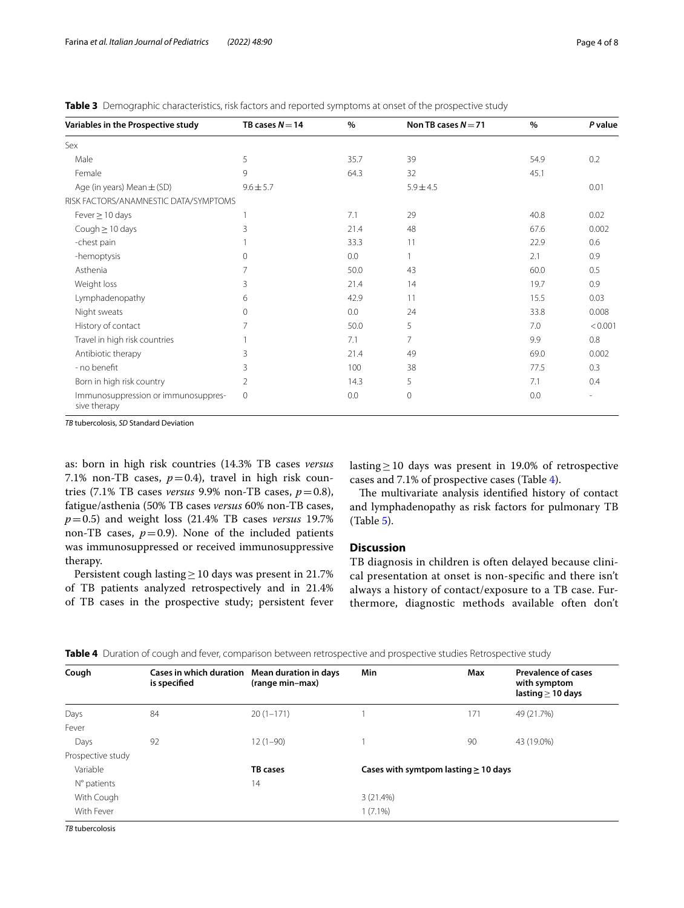<span id="page-3-0"></span>

|  | <b>Table 3</b> Demographic characteristics, risk factors and reported symptoms at onset of the prospective study |  |  |  |
|--|------------------------------------------------------------------------------------------------------------------|--|--|--|
|--|------------------------------------------------------------------------------------------------------------------|--|--|--|

| Variables in the Prospective study                  | TB cases $N = 14$ | $\%$ | Non TB cases $N = 71$ | $\%$ | P value |
|-----------------------------------------------------|-------------------|------|-----------------------|------|---------|
| Sex                                                 |                   |      |                       |      |         |
| Male                                                | 5                 | 35.7 | 39                    | 54.9 | 0.2     |
| Female                                              | 9                 | 64.3 | 32                    | 45.1 |         |
| Age (in years) Mean $\pm$ (SD)                      | $9.6 \pm 5.7$     |      | $5.9 \pm 4.5$         |      | 0.01    |
| RISK FACTORS/ANAMNESTIC DATA/SYMPTOMS               |                   |      |                       |      |         |
| Fever $\geq$ 10 days                                |                   | 7.1  | 29                    | 40.8 | 0.02    |
| Cough $\geq$ 10 days                                | 3                 | 21.4 | 48                    | 67.6 | 0.002   |
| -chest pain                                         |                   | 33.3 | 11                    | 22.9 | 0.6     |
| -hemoptysis                                         | $\mathbf{0}$      | 0.0  |                       | 2.1  | 0.9     |
| Asthenia                                            | 7                 | 50.0 | 43                    | 60.0 | 0.5     |
| Weight loss                                         | 3                 | 21.4 | 14                    | 19.7 | 0.9     |
| Lymphadenopathy                                     | 6                 | 42.9 | 11                    | 15.5 | 0.03    |
| Night sweats                                        | $\circ$           | 0.0  | 24                    | 33.8 | 0.008   |
| History of contact                                  | 7                 | 50.0 | 5                     | 7.0  | < 0.001 |
| Travel in high risk countries                       |                   | 7.1  | 7                     | 9.9  | 0.8     |
| Antibiotic therapy                                  | 3                 | 21.4 | 49                    | 69.0 | 0.002   |
| - no benefit                                        | 3                 | 100  | 38                    | 77.5 | 0.3     |
| Born in high risk country                           | $\overline{2}$    | 14.3 | 5                     | 7.1  | 0.4     |
| Immunosuppression or immunosuppres-<br>sive therapy | $\mathbf{0}$      | 0.0  | $\mathbf 0$           | 0.0  |         |

*TB* tubercolosis, *SD* Standard Deviation

as: born in high risk countries (14.3% TB cases *versus* 7.1% non-TB cases,  $p=0.4$ ), travel in high risk countries (7.1% TB cases *versus* 9.9% non-TB cases,  $p=0.8$ ), fatigue/asthenia (50% TB cases *versus* 60% non-TB cases, *p*=0.5) and weight loss (21.4% TB cases *versus* 19.7% non-TB cases,  $p=0.9$ ). None of the included patients was immunosuppressed or received immunosuppressive therapy.

Persistent cough lasting≥10 days was present in 21.7% of TB patients analyzed retrospectively and in 21.4% of TB cases in the prospective study; persistent fever lasting≥10 days was present in 19.0% of retrospective cases and 7.1% of prospective cases (Table [4](#page-3-1)).

The multivariate analysis identified history of contact and lymphadenopathy as risk factors for pulmonary TB (Table [5\)](#page-4-0).

# **Discussion**

TB diagnosis in children is often delayed because clinical presentation at onset is non-specifc and there isn't always a history of contact/exposure to a TB case. Furthermore, diagnostic methods available often don't

| Cough             | Cases in which duration Mean duration in days<br>is specified | (range min-max) | Min                                       | Max | <b>Prevalence of cases</b><br>with symptom<br>lasting $\geq$ 10 days |
|-------------------|---------------------------------------------------------------|-----------------|-------------------------------------------|-----|----------------------------------------------------------------------|
| Days              | 84                                                            | $20(1-171)$     |                                           | 171 | 49 (21.7%)                                                           |
| Fever             |                                                               |                 |                                           |     |                                                                      |
| Days              | 92                                                            | $12(1-90)$      |                                           | 90  | 43 (19.0%)                                                           |
| Prospective study |                                                               |                 |                                           |     |                                                                      |
| Variable          |                                                               | <b>TB</b> cases | Cases with symtpom lasting $\geq$ 10 days |     |                                                                      |
| N° patients       |                                                               | 14              |                                           |     |                                                                      |
| With Cough        |                                                               |                 | 3(21.4%)                                  |     |                                                                      |
| With Fever        |                                                               |                 | $1(7.1\%)$                                |     |                                                                      |

<span id="page-3-1"></span>**Table 4** Duration of cough and fever, comparison between retrospective and prospective studies Retrospective study

*TB* tubercolosis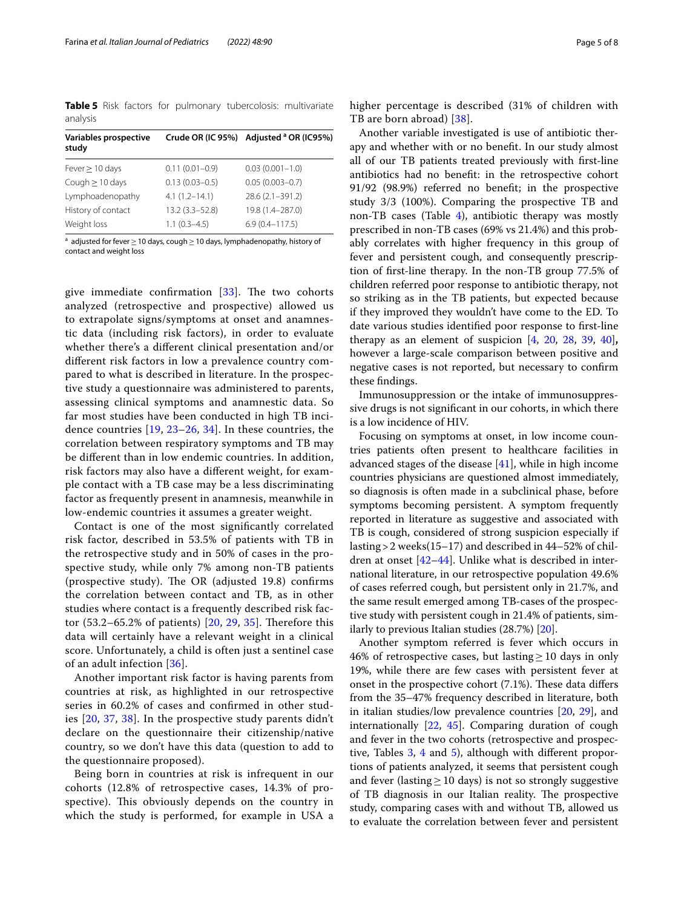<span id="page-4-0"></span>**Table 5** Risk factors for pulmonary tubercolosis: multivariate analysis

| Variables prospective<br>study |                    | Crude OR (IC 95%) Adjusted <sup>a</sup> OR (IC95%) |
|--------------------------------|--------------------|----------------------------------------------------|
| Fever $\geq$ 10 days           | $0.11(0.01 - 0.9)$ | $0.03(0.001 - 1.0)$                                |
| Cough $\geq$ 10 days           | $0.13(0.03 - 0.5)$ | $0.05(0.003 - 0.7)$                                |
| Lymphoadenopathy               | $4.1(1.2 - 14.1)$  | 28.6 (2.1-391.2)                                   |
| History of contact             | $13.2(3.3 - 52.8)$ | 19.8 (1.4-287.0)                                   |
| Weight loss                    | $1.1(0.3-4.5)$     | $6.9(0.4 - 117.5)$                                 |

 $^{\rm a}$  adjusted for fever $\geq$  10 days, cough $\geq$  10 days, lymphadenopathy, history of contact and weight loss

give immediate confirmation  $[33]$  $[33]$  $[33]$ . The two cohorts analyzed (retrospective and prospective) allowed us to extrapolate signs/symptoms at onset and anamnestic data (including risk factors), in order to evaluate whether there's a diferent clinical presentation and/or diferent risk factors in low a prevalence country compared to what is described in literature. In the prospective study a questionnaire was administered to parents, assessing clinical symptoms and anamnestic data. So far most studies have been conducted in high TB incidence countries [[19](#page-7-1), [23](#page-7-3)[–26,](#page-7-4) [34\]](#page-7-13). In these countries, the correlation between respiratory symptoms and TB may be diferent than in low endemic countries. In addition, risk factors may also have a diferent weight, for example contact with a TB case may be a less discriminating factor as frequently present in anamnesis, meanwhile in low-endemic countries it assumes a greater weight.

Contact is one of the most signifcantly correlated risk factor, described in 53.5% of patients with TB in the retrospective study and in 50% of cases in the prospective study, while only 7% among non-TB patients (prospective study). The OR (adjusted 19.8) confirms the correlation between contact and TB, as in other studies where contact is a frequently described risk factor  $(53.2-65.2%$  of patients)  $[20, 29, 35]$  $[20, 29, 35]$  $[20, 29, 35]$  $[20, 29, 35]$  $[20, 29, 35]$ . Therefore this data will certainly have a relevant weight in a clinical score. Unfortunately, a child is often just a sentinel case of an adult infection [[36\]](#page-7-15).

Another important risk factor is having parents from countries at risk, as highlighted in our retrospective series in 60.2% of cases and confrmed in other studies [[20,](#page-7-11) [37](#page-7-16), [38](#page-7-17)]. In the prospective study parents didn't declare on the questionnaire their citizenship/native country, so we don't have this data (question to add to the questionnaire proposed).

Being born in countries at risk is infrequent in our cohorts (12.8% of retrospective cases, 14.3% of prospective). This obviously depends on the country in which the study is performed, for example in USA a higher percentage is described (31% of children with TB are born abroad) [\[38](#page-7-17)].

Another variable investigated is use of antibiotic therapy and whether with or no beneft. In our study almost all of our TB patients treated previously with frst-line antibiotics had no beneft: in the retrospective cohort 91/92 (98.9%) referred no beneft; in the prospective study 3/3 (100%). Comparing the prospective TB and non-TB cases (Table  $4$ ), antibiotic therapy was mostly prescribed in non-TB cases (69% vs 21.4%) and this probably correlates with higher frequency in this group of fever and persistent cough, and consequently prescription of frst-line therapy. In the non-TB group 77.5% of children referred poor response to antibiotic therapy, not so striking as in the TB patients, but expected because if they improved they wouldn't have come to the ED. To date various studies identifed poor response to frst-line therapy as an element of suspicion [\[4](#page-6-13), [20,](#page-7-11) [28](#page-7-18), [39](#page-7-19), [40\]](#page-7-20)**,** however a large-scale comparison between positive and negative cases is not reported, but necessary to confrm these fndings.

Immunosuppression or the intake of immunosuppressive drugs is not signifcant in our cohorts, in which there is a low incidence of HIV.

Focusing on symptoms at onset, in low income countries patients often present to healthcare facilities in advanced stages of the disease [\[41](#page-7-21)], while in high income countries physicians are questioned almost immediately, so diagnosis is often made in a subclinical phase, before symptoms becoming persistent. A symptom frequently reported in literature as suggestive and associated with TB is cough, considered of strong suspicion especially if lasting>2 weeks(15–17) and described in 44–52% of children at onset [[42](#page-7-22)[–44](#page-7-23)]. Unlike what is described in international literature, in our retrospective population 49.6% of cases referred cough, but persistent only in 21.7%, and the same result emerged among TB-cases of the prospective study with persistent cough in 21.4% of patients, similarly to previous Italian studies (28.7%) [\[20](#page-7-11)].

Another symptom referred is fever which occurs in 46% of retrospective cases, but lasting  $\geq$  10 days in only 19%, while there are few cases with persistent fever at onset in the prospective cohort  $(7.1%)$ . These data differs from the 35–47% frequency described in literature, both in italian studies/low prevalence countries [[20,](#page-7-11) [29](#page-7-7)], and internationally [[22](#page-7-2), [45](#page-7-24)]. Comparing duration of cough and fever in the two cohorts (retrospective and prospec-tive, Tables [3,](#page-3-0) [4](#page-3-1) and [5\)](#page-4-0), although with different proportions of patients analyzed, it seems that persistent cough and fever (lasting  $\geq$  10 days) is not so strongly suggestive of TB diagnosis in our Italian reality. The prospective study, comparing cases with and without TB, allowed us to evaluate the correlation between fever and persistent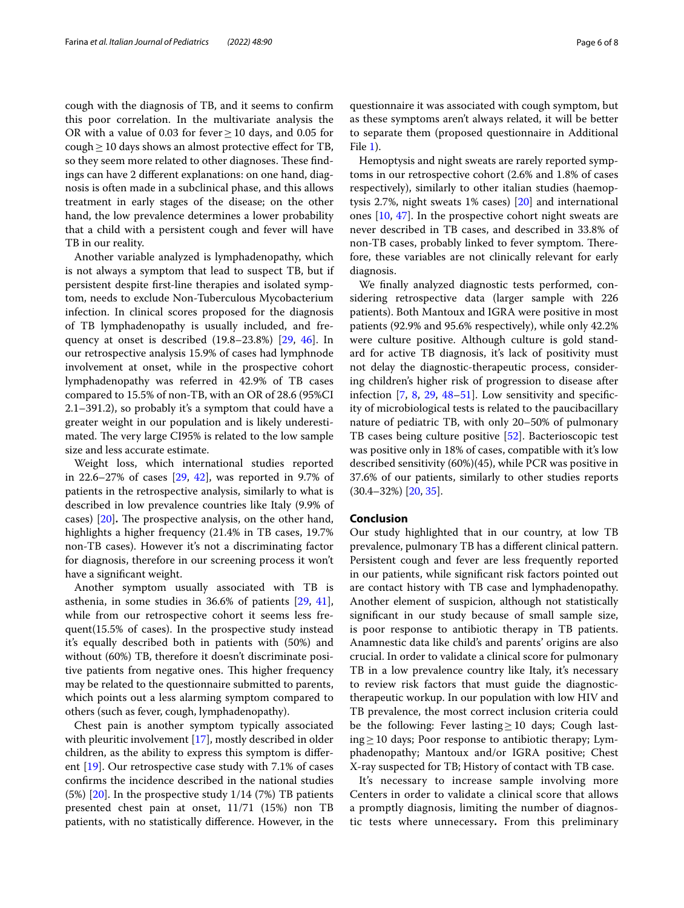cough with the diagnosis of TB, and it seems to confrm this poor correlation. In the multivariate analysis the OR with a value of 0.03 for fever  $\geq 10$  days, and 0.05 for cough  $\geq$  10 days shows an almost protective effect for TB, so they seem more related to other diagnoses. These findings can have 2 diferent explanations: on one hand, diagnosis is often made in a subclinical phase, and this allows treatment in early stages of the disease; on the other hand, the low prevalence determines a lower probability that a child with a persistent cough and fever will have TB in our reality.

Another variable analyzed is lymphadenopathy, which is not always a symptom that lead to suspect TB, but if persistent despite frst-line therapies and isolated symptom, needs to exclude Non-Tuberculous Mycobacterium infection. In clinical scores proposed for the diagnosis of TB lymphadenopathy is usually included, and frequency at onset is described (19.8–23.8%) [[29](#page-7-7), [46\]](#page-7-25). In our retrospective analysis 15.9% of cases had lymphnode involvement at onset, while in the prospective cohort lymphadenopathy was referred in 42.9% of TB cases compared to 15.5% of non-TB, with an OR of 28.6 (95%CI 2.1–391.2), so probably it's a symptom that could have a greater weight in our population and is likely underestimated. The very large CI95% is related to the low sample size and less accurate estimate.

Weight loss, which international studies reported in 22.6–27% of cases [[29,](#page-7-7) [42\]](#page-7-22), was reported in 9.7% of patients in the retrospective analysis, similarly to what is described in low prevalence countries like Italy (9.9% of cases) [[20](#page-7-11)]. The prospective analysis, on the other hand, highlights a higher frequency (21.4% in TB cases, 19.7% non-TB cases). However it's not a discriminating factor for diagnosis, therefore in our screening process it won't have a signifcant weight.

Another symptom usually associated with TB is asthenia, in some studies in 36.6% of patients [\[29](#page-7-7), [41](#page-7-21)], while from our retrospective cohort it seems less frequent(15.5% of cases). In the prospective study instead it's equally described both in patients with (50%) and without (60%) TB, therefore it doesn't discriminate positive patients from negative ones. This higher frequency may be related to the questionnaire submitted to parents, which points out a less alarming symptom compared to others (such as fever, cough, lymphadenopathy).

Chest pain is another symptom typically associated with pleuritic involvement [[17\]](#page-7-26), mostly described in older children, as the ability to express this symptom is diferent [[19\]](#page-7-1). Our retrospective case study with 7.1% of cases confrms the incidence described in the national studies (5%) [[20\]](#page-7-11). In the prospective study 1/14 (7%) TB patients presented chest pain at onset, 11/71 (15%) non TB patients, with no statistically diference. However, in the

questionnaire it was associated with cough symptom, but as these symptoms aren't always related, it will be better to separate them (proposed questionnaire in Additional File [1\)](#page-6-14).

Hemoptysis and night sweats are rarely reported symptoms in our retrospective cohort (2.6% and 1.8% of cases respectively), similarly to other italian studies (haemoptysis 2.7%, night sweats 1% cases) [\[20\]](#page-7-11) and international ones [[10,](#page-6-8) [47\]](#page-7-27). In the prospective cohort night sweats are never described in TB cases, and described in 33.8% of non-TB cases, probably linked to fever symptom. Therefore, these variables are not clinically relevant for early diagnosis.

We fnally analyzed diagnostic tests performed, considering retrospective data (larger sample with 226 patients). Both Mantoux and IGRA were positive in most patients (92.9% and 95.6% respectively), while only 42.2% were culture positive. Although culture is gold standard for active TB diagnosis, it's lack of positivity must not delay the diagnostic-therapeutic process, considering children's higher risk of progression to disease after infection [\[7,](#page-6-5) [8,](#page-6-6) [29](#page-7-7), [48–](#page-7-28)[51\]](#page-7-29). Low sensitivity and specifcity of microbiological tests is related to the paucibacillary nature of pediatric TB, with only 20–50% of pulmonary TB cases being culture positive [[52\]](#page-7-30). Bacterioscopic test was positive only in 18% of cases, compatible with it's low described sensitivity (60%)(45), while PCR was positive in 37.6% of our patients, similarly to other studies reports (30.4–32%) [\[20](#page-7-11), [35](#page-7-14)].

# **Conclusion**

Our study highlighted that in our country, at low TB prevalence, pulmonary TB has a diferent clinical pattern. Persistent cough and fever are less frequently reported in our patients, while signifcant risk factors pointed out are contact history with TB case and lymphadenopathy. Another element of suspicion, although not statistically signifcant in our study because of small sample size, is poor response to antibiotic therapy in TB patients. Anamnestic data like child's and parents' origins are also crucial. In order to validate a clinical score for pulmonary TB in a low prevalence country like Italy, it's necessary to review risk factors that must guide the diagnostictherapeutic workup. In our population with low HIV and TB prevalence, the most correct inclusion criteria could be the following: Fever lasting≥10 days; Cough lasting≥10 days; Poor response to antibiotic therapy; Lymphadenopathy; Mantoux and/or IGRA positive; Chest X-ray suspected for TB; History of contact with TB case.

It's necessary to increase sample involving more Centers in order to validate a clinical score that allows a promptly diagnosis, limiting the number of diagnostic tests where unnecessary**.** From this preliminary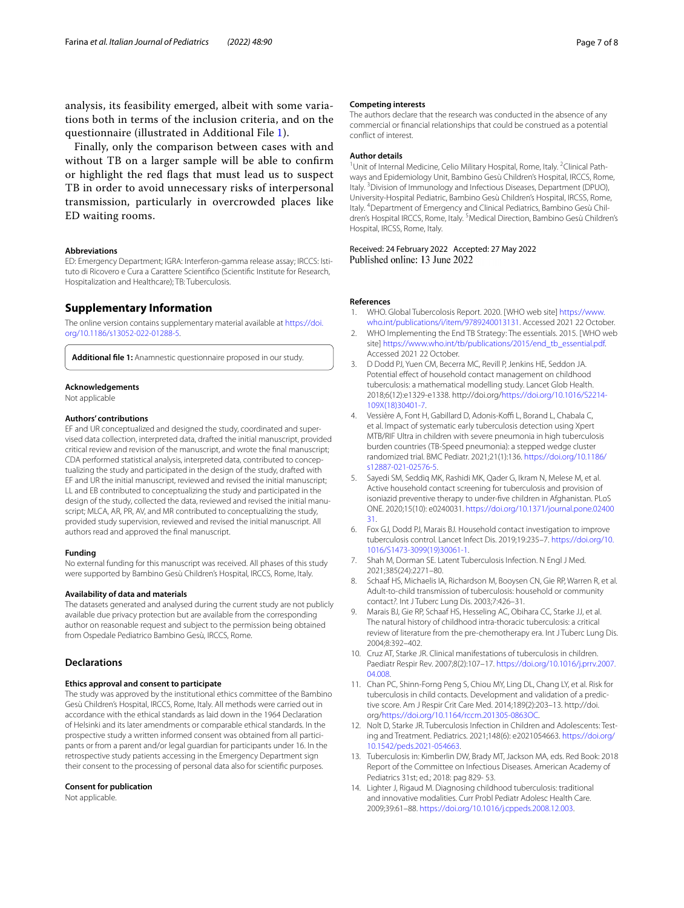analysis, its feasibility emerged, albeit with some variations both in terms of the inclusion criteria, and on the questionnaire (illustrated in Additional File [1](#page-6-14)).

Finally, only the comparison between cases with and without TB on a larger sample will be able to confrm or highlight the red fags that must lead us to suspect TB in order to avoid unnecessary risks of interpersonal transmission, particularly in overcrowded places like ED waiting rooms.

#### **Abbreviations**

ED: Emergency Department; IGRA: Interferon-gamma release assay; IRCCS: Istituto di Ricovero e Cura a Carattere Scientifco (Scientifc Institute for Research, Hospitalization and Healthcare); TB: Tuberculosis.

## **Supplementary Information**

The online version contains supplementary material available at [https://doi.](https://doi.org/10.1186/s13052-022-01288-5) [org/10.1186/s13052-022-01288-5](https://doi.org/10.1186/s13052-022-01288-5).

<span id="page-6-14"></span>**Additional fle 1:** Anamnestic questionnaire proposed in our study.

## **Acknowledgements**

Not applicable

#### **Authors' contributions**

EF and UR conceptualized and designed the study, coordinated and supervised data collection, interpreted data, drafted the initial manuscript, provided critical review and revision of the manuscript, and wrote the fnal manuscript; CDA performed statistical analysis, interpreted data, contributed to conceptualizing the study and participated in the design of the study, drafted with EF and UR the initial manuscript, reviewed and revised the initial manuscript; LL and EB contributed to conceptualizing the study and participated in the design of the study, collected the data, reviewed and revised the initial manuscript; MLCA, AR, PR, AV, and MR contributed to conceptualizing the study, provided study supervision, reviewed and revised the initial manuscript. All authors read and approved the fnal manuscript.

#### **Funding**

No external funding for this manuscript was received. All phases of this study were supported by Bambino Gesù Children's Hospital, IRCCS, Rome, Italy.

#### **Availability of data and materials**

The datasets generated and analysed during the current study are not publicly available due privacy protection but are available from the corresponding author on reasonable request and subject to the permission being obtained from Ospedale Pediatrico Bambino Gesù, IRCCS, Rome.

# **Declarations**

#### **Ethics approval and consent to participate**

The study was approved by the institutional ethics committee of the Bambino Gesù Children's Hospital, IRCCS, Rome, Italy. All methods were carried out in accordance with the ethical standards as laid down in the 1964 Declaration of Helsinki and its later amendments or comparable ethical standards. In the prospective study a written informed consent was obtained from all participants or from a parent and/or legal guardian for participants under 16. In the retrospective study patients accessing in the Emergency Department sign their consent to the processing of personal data also for scientifc purposes.

#### **Consent for publication**

Not applicable.

The authors declare that the research was conducted in the absence of any commercial or fnancial relationships that could be construed as a potential confict of interest.

#### **Author details**

<sup>1</sup> Unit of Internal Medicine, Celio Military Hospital, Rome, Italy. <sup>2</sup> Clinical Pathways and Epidemiology Unit, Bambino Gesù Children's Hospital, IRCCS, Rome, Italy. <sup>3</sup> Division of Immunology and Infectious Diseases, Department (DPUO), University-Hospital Pediatric, Bambino Gesù Children's Hospital, IRCSS, Rome, Italy. 4 Department of Emergency and Clinical Pediatrics, Bambino Gesù Children's Hospital IRCCS, Rome, Italy. <sup>5</sup> Medical Direction, Bambino Gesù Children's Hospital, IRCSS, Rome, Italy.

Received: 24 February 2022 Accepted: 27 May 2022 Published online: 13 June 2022

#### **References**

- <span id="page-6-0"></span>WHO. Global Tubercolosis Report. 2020. [WHO web site] [https://www.](https://www.who.int/publications/i/item/9789240013131) [who.int/publications/i/item/9789240013131](https://www.who.int/publications/i/item/9789240013131). Accessed 2021 22 October.
- <span id="page-6-1"></span>2. WHO Implementing the End TB Strategy: The essentials. 2015. [WHO web site] [https://www.who.int/tb/publications/2015/end\\_tb\\_essential.pdf.](https://www.who.int/tb/publications/2015/end_tb_essential.pdf) Accessed 2021 22 October.
- <span id="page-6-2"></span>3. D Dodd PJ, Yuen CM, Becerra MC, Revill P, Jenkins HE, Seddon JA. Potential effect of household contact management on childhood tuberculosis: a mathematical modelling study. Lancet Glob Health. 2018;6(12):e1329-e1338. http://doi.org/[https://doi.org/10.1016/S2214-](https://doi.org/10.1016/S2214-109X(18)30401-7) [109X\(18\)30401-7](https://doi.org/10.1016/S2214-109X(18)30401-7).
- <span id="page-6-13"></span>4. Vessière A, Font H, Gabillard D, Adonis-Koffi L, Borand L, Chabala C, et al. Impact of systematic early tuberculosis detection using Xpert MTB/RIF Ultra in children with severe pneumonia in high tuberculosis burden countries (TB-Speed pneumonia): a stepped wedge cluster randomized trial. BMC Pediatr. 2021;21(1):136. [https://doi.org/10.1186/](https://doi.org/10.1186/s12887-021-02576-5) [s12887-021-02576-5](https://doi.org/10.1186/s12887-021-02576-5).
- <span id="page-6-3"></span>5. Sayedi SM, Seddiq MK, Rashidi MK, Qader G, Ikram N, Melese M, et al. Active household contact screening for tuberculosis and provision of isoniazid preventive therapy to under-fve children in Afghanistan. PLoS ONE. 2020;15(10): e0240031. [https://doi.org/10.1371/journal.pone.02400](https://doi.org/10.1371/journal.pone.0240031) [31](https://doi.org/10.1371/journal.pone.0240031).
- <span id="page-6-4"></span>6. Fox GJ, Dodd PJ, Marais BJ. Household contact investigation to improve tuberculosis control. Lancet Infect Dis. 2019;19:235–7. [https://doi.org/10.](https://doi.org/10.1016/S1473-3099(19)30061-1) [1016/S1473-3099\(19\)30061-1](https://doi.org/10.1016/S1473-3099(19)30061-1).
- <span id="page-6-5"></span>7. Shah M, Dorman SE. Latent Tuberculosis Infection. N Engl J Med. 2021;385(24):2271–80.
- <span id="page-6-6"></span>8. Schaaf HS, Michaelis IA, Richardson M, Booysen CN, Gie RP, Warren R, et al. Adult-to-child transmission of tuberculosis: household or community contact*?*. Int J Tuberc Lung Dis. 2003;7:426–31.
- <span id="page-6-7"></span>9. Marais BJ, Gie RP, Schaaf HS, Hesseling AC, Obihara CC, Starke JJ, et al. The natural history of childhood intra-thoracic tuberculosis: a critical review of literature from the pre-chemotherapy era. Int J Tuberc Lung Dis. 2004;8:392–402.
- <span id="page-6-8"></span>10. Cruz AT, Starke JR. Clinical manifestations of tuberculosis in children. Paediatr Respir Rev. 2007;8(2):107–17. [https://doi.org/10.1016/j.prrv.2007.](https://doi.org/10.1016/j.prrv.2007.04.008) [04.008](https://doi.org/10.1016/j.prrv.2007.04.008).
- <span id="page-6-9"></span>11. Chan PC, Shinn-Forng Peng S, Chiou MY, Ling DL, Chang LY, et al. Risk for tuberculosis in child contacts. Development and validation of a predictive score. Am J Respir Crit Care Med. 2014;189(2):203–13. http://doi. org/[https://doi.org/10.1164/rccm.201305-0863OC.](https://doi.org/10.1164/rccm.201305-0863OC)
- <span id="page-6-10"></span>12. Nolt D, Starke JR. Tuberculosis Infection in Children and Adolescents: Testing and Treatment. Pediatrics. 2021;148(6): e2021054663. [https://doi.org/](https://doi.org/10.1542/peds.2021-054663) [10.1542/peds.2021-054663](https://doi.org/10.1542/peds.2021-054663).
- <span id="page-6-11"></span>13. Tuberculosis in: Kimberlin DW, Brady MT, Jackson MA, eds. Red Book: 2018 Report of the Committee on Infectious Diseases. American Academy of Pediatrics 31st; ed.; 2018: pag 829- 53.
- <span id="page-6-12"></span>14. Lighter J, Rigaud M. Diagnosing childhood tuberculosis: traditional and innovative modalities. Curr Probl Pediatr Adolesc Health Care. 2009;39:61–88. <https://doi.org/10.1016/j.cppeds.2008.12.003>.